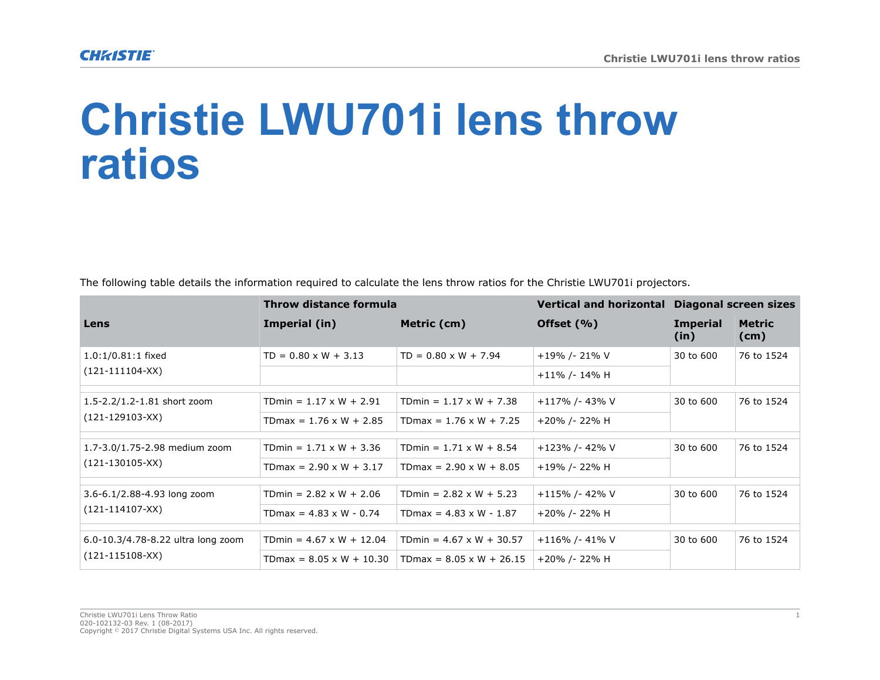## **Christie LWU701i lens throw ratios**

The following table details the information required to calculate the lens throw ratios for the Christie LWU701i projectors.

|                                                             | Throw distance formula          |                                 | Vertical and horizontal Diagonal screen sizes |                         |                       |
|-------------------------------------------------------------|---------------------------------|---------------------------------|-----------------------------------------------|-------------------------|-----------------------|
| Lens                                                        | Imperial (in)                   | Metric (cm)                     | Offset $(\% )$                                | <b>Imperial</b><br>(in) | <b>Metric</b><br>(cm) |
| $1.0:1/0.81:1$ fixed<br>$(121-111104-XX)$                   | $TD = 0.80 \times W + 3.13$     | $TD = 0.80 \times W + 7.94$     | +19% /- 21% V                                 | 30 to 600               | 76 to 1524            |
|                                                             |                                 |                                 | $+11\%$ /- 14% H                              |                         |                       |
| 1.5-2.2/1.2-1.81 short zoom<br>$(121-129103-XX)$            | TDmin = $1.17 \times W + 2.91$  | TDmin = $1.17 \times W + 7.38$  | +117% /- 43% V                                | 30 to 600               | 76 to 1524            |
|                                                             | TDmax = $1.76 \times W + 2.85$  | TDmax = $1.76 \times W + 7.25$  | +20% /- 22% H                                 |                         |                       |
| 1.7-3.0/1.75-2.98 medium zoom<br>$(121-130105-XX)$          | TDmin = $1.71 \times W + 3.36$  | TDmin = $1.71 \times W + 8.54$  | +123% /- 42% V                                | 30 to 600               | 76 to 1524            |
|                                                             | TDmax = $2.90 \times W + 3.17$  | TDmax = $2.90 \times W + 8.05$  | +19% /- 22% H                                 |                         |                       |
| 3.6-6.1/2.88-4.93 long zoom<br>$(121-114107-XX)$            | TDmin = $2.82 \times W + 2.06$  | TDmin = $2.82 \times W + 5.23$  | +115% /- 42% V                                | 30 to 600               | 76 to 1524            |
|                                                             | TDmax = $4.83 \times W - 0.74$  | TDmax = $4.83 \times W - 1.87$  | +20% /- 22% H                                 |                         |                       |
|                                                             |                                 |                                 |                                               | 30 to 600               | 76 to 1524            |
| 6.0-10.3/4.78-8.22 ultra long zoom<br>$(121 - 115108 - XX)$ | TDmin = $4.67 \times W + 12.04$ | TDmin = $4.67 \times W + 30.57$ | +116% /- 41% V                                |                         |                       |
|                                                             | $TDmax = 8.05 \times W + 10.30$ | $TDmax = 8.05 \times W + 26.15$ | +20% /- 22% H                                 |                         |                       |